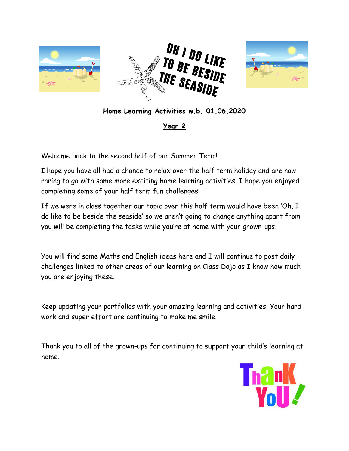



# **Home Learning Activities w.b. 01.06.2020**

## **Year 2**

Welcome back to the second half of our Summer Term!

I hope you have all had a chance to relax over the half term holiday and are now raring to go with some more exciting home learning activities. I hope you enjoyed completing some of your half term fun challenges!

If we were in class together our topic over this half term would have been 'Oh, I do like to be beside the seaside' so we aren't going to change anything apart from you will be completing the tasks while you're at home with your grown-ups.

You will find some Maths and English ideas here and I will continue to post daily challenges linked to other areas of our learning on Class Dojo as I know how much you are enjoying these.

Keep updating your portfolios with your amazing learning and activities. Your hard work and super effort are continuing to make me smile.

Thank you to all of the grown-ups for continuing to support your child's learning at home.

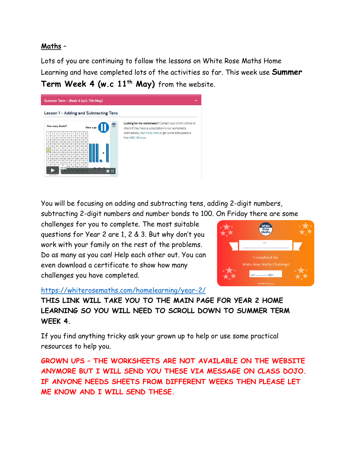### **Maths** –

Lots of you are continuing to follow the lessons on White Rose Maths Home Learning and have completed lots of the activities so far. This week use **Summer Term Week 4 (w.c 11th May)** from the website.



You will be focusing on adding and subtracting tens, adding 2-digit numbers, subtracting 2-digit numbers and number bonds to 100. On Friday there are some

challenges for you to complete. The most suitable questions for Year 2 are 1, 2 & 3. But why don't you work with your family on the rest of the problems. Do as many as you can! Help each other out. You can even download a certificate to show how many challenges you have completed.



<https://whiterosemaths.com/homelearning/year-2/>

**THIS LINK WILL TAKE YOU TO THE MAIN PAGE FOR YEAR 2 HOME LEARNING SO YOU WILL NEED TO SCROLL DOWN TO SUMMER TERM WEEK 4.**

If you find anything tricky ask your grown up to help or use some practical resources to help you.

**GROWN UPS – THE WORKSHEETS ARE NOT AVAILABLE ON THE WEBSITE ANYMORE BUT I WILL SEND YOU THESE VIA MESSAGE ON CLASS DOJO. IF ANYONE NEEDS SHEETS FROM DIFFERENT WEEKS THEN PLEASE LET ME KNOW AND I WILL SEND THESE.**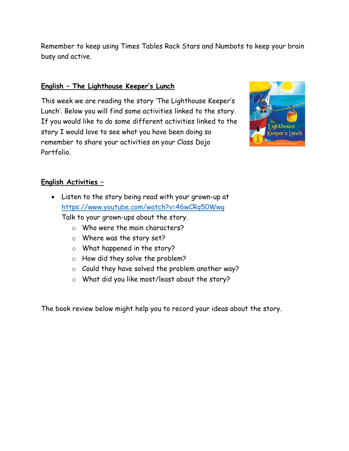Remember to keep using Times Tables Rock Stars and Numbots to keep your brain busy and active.

#### **English – The Lighthouse Keeper's Lunch**

This week we are reading the story 'The Lighthouse Keeper's Lunch'. Below you will find some activities linked to the story. If you would like to do some different activities linked to the story I would love to see what you have been doing so remember to share your activities on your Class Dojo Portfolio.



#### **English Activities –**

 Listen to the story being read with your grown-up at <https://www.youtube.com/watch?v=46wCRq50Wwg>

Talk to your grown-ups about the story.

- o Who were the main characters?
- o Where was the story set?
- o What happened in the story?
- o How did they solve the problem?
- o Could they have solved the problem another way?
- o What did you like most/least about the story?

The book review below might help you to record your ideas about the story.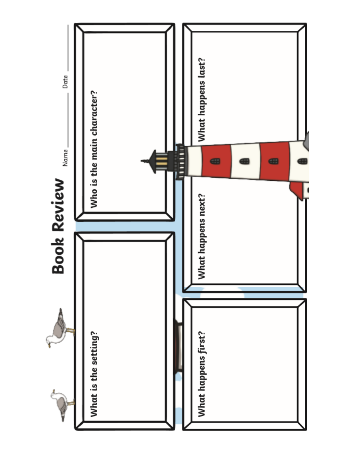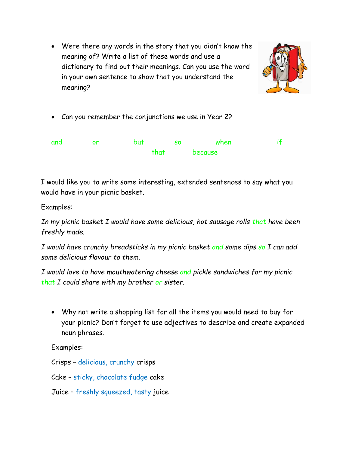Were there any words in the story that you didn't know the meaning of? Write a list of these words and use a dictionary to find out their meanings. Can you use the word in your own sentence to show that you understand the meaning?



Can you remember the conjunctions we use in Year 2?

| and | nr | <b>but</b> |      | <b>SO</b> | when    |  |
|-----|----|------------|------|-----------|---------|--|
|     |    |            | that |           | because |  |

I would like you to write some interesting, extended sentences to say what you would have in your picnic basket.

Examples:

*In my picnic basket I would have some delicious, hot sausage rolls that have been freshly made.*

*I would have crunchy breadsticks in my picnic basket and some dips so I can add some delicious flavour to them.*

*I would love to have mouthwatering cheese and pickle sandwiches for my picnic that I could share with my brother or sister.*

 Why not write a shopping list for all the items you would need to buy for your picnic? Don't forget to use adjectives to describe and create expanded noun phrases.

Examples:

Crisps – delicious, crunchy crisps

Cake – sticky, chocolate fudge cake

Juice – freshly squeezed, tasty juice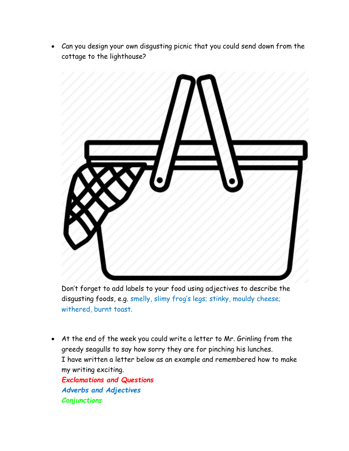Can you design your own disgusting picnic that you could send down from the cottage to the lighthouse?



Don't forget to add labels to your food using adjectives to describe the disgusting foods, e.g. smelly, slimy frog's legs; stinky, mouldy cheese; withered, burnt toast.

 At the end of the week you could write a letter to Mr. Grinling from the greedy seagulls to say how sorry they are for pinching his lunches. I have written a letter below as an example and remembered how to make my writing exciting. *Exclamations and Questions Adverbs and Adjectives Conjunctions*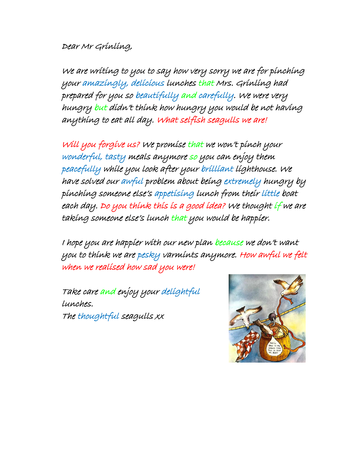# Dear Mr Grinling,

We are writing to you to say how very sorry we are for pinching your amazingly, delicious lunches that Mrs. Grinling had prepared for you so beautifully and carefully. We were very hungry but didn't think how hungry you would be not having anything to eat all day. What selfish seagulls we are!

Will you forgive us? We promise that we won't pinch your wonderful, tasty meals anymore so you can enjoy them peacefully while you look after your brilliant lighthouse. We have solved our awful problem about being extremely hungry by pinching someone else's appetising lunch from their little boat each day. Do you think this is a good idea? We thought if we are taking someone else's lunch that you would be happier.

I hope you are happier with our new plan because we don't want you to think we are pesky varmints anymore. How awful we felt when we realised how sad you were!

Take care and enjoy your delightful lunches. The thoughtful seagulls xx

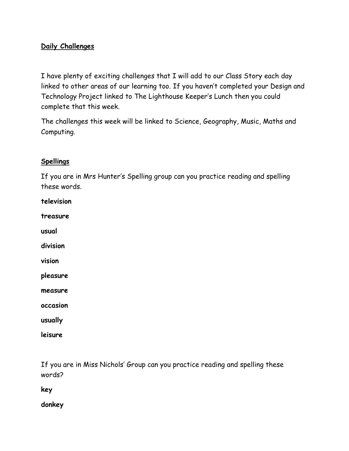## **Daily Challenges**

I have plenty of exciting challenges that I will add to our Class Story each day linked to other areas of our learning too. If you haven't completed your Design and Technology Project linked to The Lighthouse Keeper's Lunch then you could complete that this week.

The challenges this week will be linked to Science, Geography, Music, Maths and Computing.

#### **Spellings**

If you are in Mrs Hunter's Spelling group can you practice reading and spelling these words.

| television |
|------------|
| treasure   |
| usual      |
| division   |
| vision     |
| pleasure   |
| measure    |
| occasion   |
| usually    |
| leisure    |

If you are in Miss Nichols' Group can you practice reading and spelling these words?

**key**

**donkey**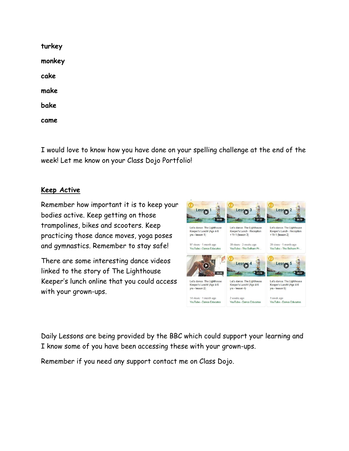**turkey monkey cake make bake came**

I would love to know how you have done on your spelling challenge at the end of the week! Let me know on your Class Dojo Portfolio!

### **Keep Active**

Remember how important it is to keep your bodies active. Keep getting on those trampolines, bikes and scooters. Keep practicing those dance moves, yoga poses and gymnastics. Remember to stay safe!

There are some interesting dance videos linked to the story of The Lighthouse Keeper's lunch online that you could access with your grown-ups.



Daily Lessons are being provided by the BBC which could support your learning and I know some of you have been accessing these with your grown-ups.

Remember if you need any support contact me on Class Dojo.